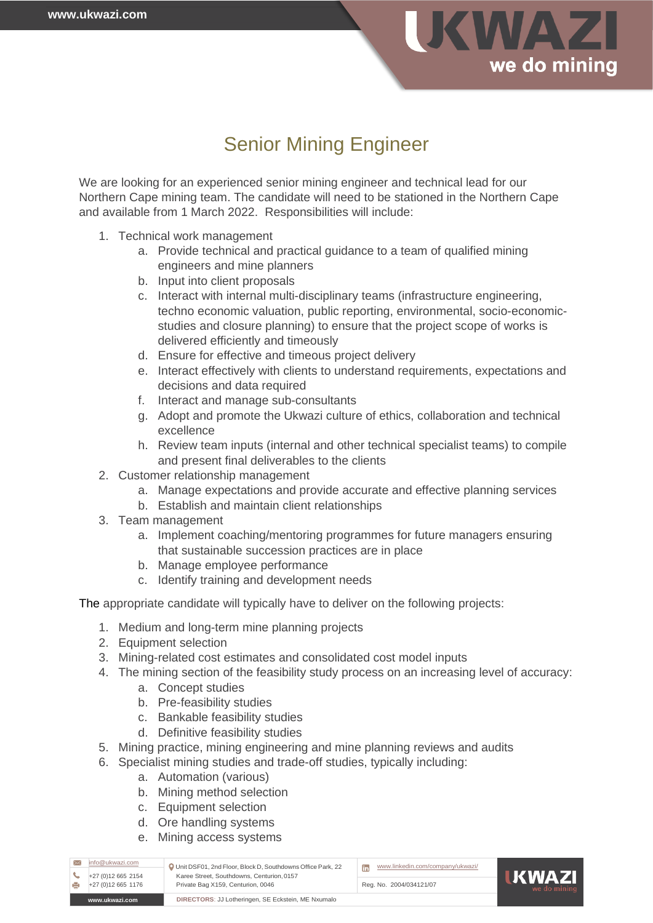

## Senior Mining Engineer

We are looking for an experienced senior mining engineer and technical lead for our Northern Cape mining team. The candidate will need to be stationed in the Northern Cape and available from 1 March 2022. Responsibilities will include:

- 1. Technical work management
	- a. Provide technical and practical guidance to a team of qualified mining engineers and mine planners
	- b. Input into client proposals
	- c. Interact with internal multi-disciplinary teams (infrastructure engineering, techno economic valuation, public reporting, environmental, socio-economicstudies and closure planning) to ensure that the project scope of works is delivered efficiently and timeously
	- d. Ensure for effective and timeous project delivery
	- e. Interact effectively with clients to understand requirements, expectations and decisions and data required
	- f. Interact and manage sub-consultants
	- g. Adopt and promote the Ukwazi culture of ethics, collaboration and technical excellence
	- h. Review team inputs (internal and other technical specialist teams) to compile and present final deliverables to the clients
- 2. Customer relationship management
	- a. Manage expectations and provide accurate and effective planning services
	- b. Establish and maintain client relationships
- 3. Team management
	- a. Implement coaching/mentoring programmes for future managers ensuring that sustainable succession practices are in place
	- b. Manage employee performance
	- c. Identify training and development needs

The appropriate candidate will typically have to deliver on the following projects:

- 1. Medium and long-term mine planning projects
- 2. Equipment selection
- 3. Mining-related cost estimates and consolidated cost model inputs
- 4. The mining section of the feasibility study process on an increasing level of accuracy:
	- a. Concept studies
	- b. Pre-feasibility studies
	- c. Bankable feasibility studies
	- d. Definitive feasibility studies
- 5. Mining practice, mining engineering and mine planning reviews and audits
- 6. Specialist mining studies and trade-off studies, typically including:
	- a. Automation (various)
	- b. Mining method selection
	- c. Equipment selection
	- d. Ore handling systems
	- e. Mining access systems

| info@ukwazi.com<br>+27 (0) 12 665 2154                               | Unit DSF01, 2nd Floor, Block D, Southdowns Office Park, 22<br>Karee Street, Southdowns, Centurion, 0157<br>Private Bag X159, Centurion, 0046 | www.linkedin.com/company/ukwazi/<br>lin | <b>IIKWAZI</b><br>we do mining |
|----------------------------------------------------------------------|----------------------------------------------------------------------------------------------------------------------------------------------|-----------------------------------------|--------------------------------|
| +27 (0) 12 665 1176                                                  |                                                                                                                                              | Reg. No. 2004/034121/07                 |                                |
| DIRECTORS: JJ Lotheringen, SE Eckstein, ME Nxumalo<br>www.ukwazi.com |                                                                                                                                              |                                         |                                |